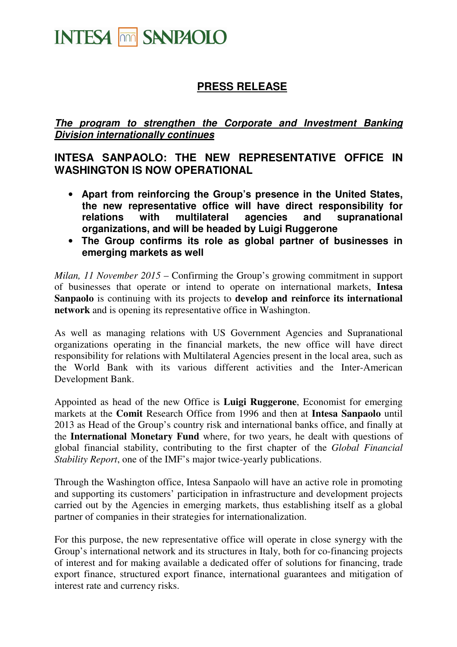# **INTESA THE SANPAOLO**

## **PRESS RELEASE**

#### **The program to strengthen the Corporate and Investment Banking Division internationally continues**

### **INTESA SANPAOLO: THE NEW REPRESENTATIVE OFFICE IN WASHINGTON IS NOW OPERATIONAL**

- **Apart from reinforcing the Group's presence in the United States, the new representative office will have direct responsibility for relations with multilateral agencies and supranational organizations, and will be headed by Luigi Ruggerone**
- **The Group confirms its role as global partner of businesses in emerging markets as well**

*Milan, 11 November 2015* – Confirming the Group's growing commitment in support of businesses that operate or intend to operate on international markets, **Intesa Sanpaolo** is continuing with its projects to **develop and reinforce its international network** and is opening its representative office in Washington.

As well as managing relations with US Government Agencies and Supranational organizations operating in the financial markets, the new office will have direct responsibility for relations with Multilateral Agencies present in the local area, such as the World Bank with its various different activities and the Inter-American Development Bank.

Appointed as head of the new Office is **Luigi Ruggerone**, Economist for emerging markets at the **Comit** Research Office from 1996 and then at **Intesa Sanpaolo** until 2013 as Head of the Group's country risk and international banks office, and finally at the **International Monetary Fund** where, for two years, he dealt with questions of global financial stability, contributing to the first chapter of the *Global Financial Stability Report*, one of the IMF's major twice-yearly publications.

Through the Washington office, Intesa Sanpaolo will have an active role in promoting and supporting its customers' participation in infrastructure and development projects carried out by the Agencies in emerging markets, thus establishing itself as a global partner of companies in their strategies for internationalization.

For this purpose, the new representative office will operate in close synergy with the Group's international network and its structures in Italy, both for co-financing projects of interest and for making available a dedicated offer of solutions for financing, trade export finance, structured export finance, international guarantees and mitigation of interest rate and currency risks.